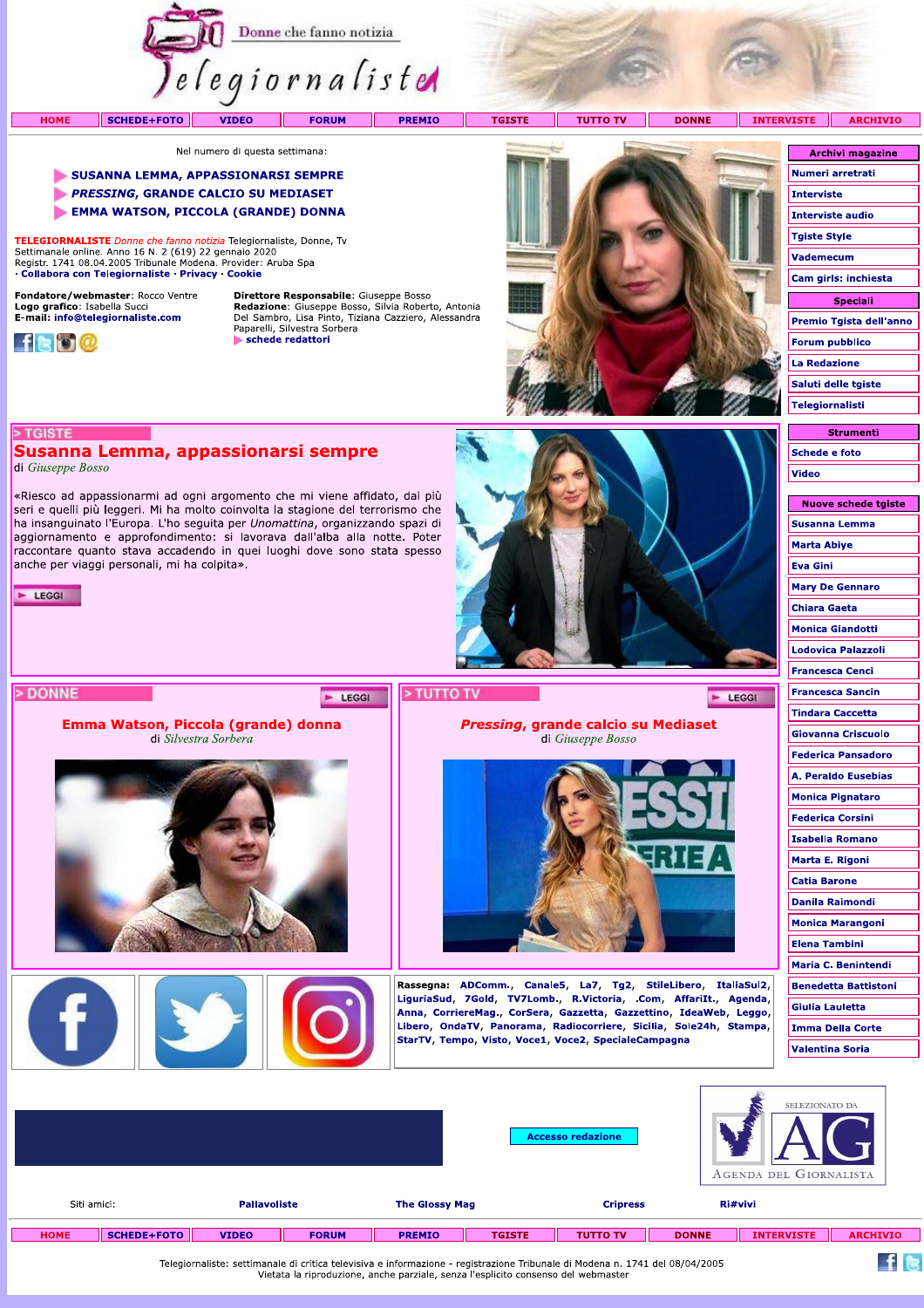

**TGISTE** 

**TUTTO TV DONNE**  **INTERVISTE** 

**ARCHIVIO** 

Nel numero di questa settimana:

### SUSANNA LEMMA, APPASSIONARSI SEMPRE

- **PRESSING, GRANDE CALCIO SU MEDIASET**
- EMMA WATSON, PICCOLA (GRANDE) DONNA

Susanna Lemma, appassionarsi sempre

Emma Watson, Piccola (grande) donna

di Silvestra Sorbera

«Riesco ad appassionarmi ad ogni argomento che mi viene affidato, dai più seri e quelli più leggeri. Mi ha molto coinvolta la stagione del terrorismo che ha insanguinato l'Europa. L'ho seguita per Unomattina, organizzando spazi di aggiornamento e approfondimento: si lavorava dall'alba alla notte. Poter raccontare quanto stava accadendo in quei luoghi dove sono stata spesso

TELEGIORNALISTE Donne che fanno notizia Telegiornaliste, Donne, Tv Settimanale online. Anno 16 N. 2 (619) 22 gennaio 2020<br>Registr. 1741 08.04.2005 Tribunale Modena. Provider: Aruba Spa · Collabora con Telegiornaliste · Privacy · Cookie

Fondatore/webmaster: Rocco Ventre Logo grafico: Isabella Succi<br>E-mail: info@telegiornaliste.com

anche per viaggi personali, mi ha colpita».



> TGISTE

E LEGGI

> DONNE

di Giuseppe Bosso

**HOME** 

Direttore Responsabile: Giuseppe Bosso **Redazione:** Giuseppe Bosso, Silvia Roberto, Antonia<br>Del Sambro, Lisa Pinto, Tiziana Cazziero, Alessandra<br>Paparelli, Silvestra Sorbera schede redattori

E LEGGI



Pressing, grande calcio su Mediaset

di Giuseppe Bosso

Rassegna: ADComm., Canale5, La7, Tg2, StileLibero, ItaliaSul2, LiguriaSud, 7Gold, TV7Lomb., R.Victoria, .Com, AffariIt., Agenda, Anna, CorriereMag., CorSera, Gazzetta, Gazzettino, IdeaWeb, Leggo, Libero, OndaTV, Panorama, Radiocorriere, Sicilia, Sole24h, Stampa,

StarTV, Tempo, Visto, Voce1, Voce2, SpecialeCampagna

| <b>Archivi magazine</b> |
|-------------------------|
| Numeri arretrati        |
| <b>Interviste</b>       |
| <b>Interviste audio</b> |
| <b>Tgiste Style</b>     |
| Vademecum               |
| Cam girls: inchiesta    |
| Speciali                |
| Premio Tgista dell'anno |
| <b>Forum pubblico</b>   |
| <b>La Redazione</b>     |
| Saluti delle tgiste     |
| <b>Telegiornalisti</b>  |

## **Strumenti Schede e foto** Video

| <b>NUOVE SCREUE LYISLE</b>  |
|-----------------------------|
| Susanna Lemma               |
| <b>Marta Abiye</b>          |
| Eva Gini                    |
| <b>Mary De Gennaro</b>      |
| Chiara Gaeta                |
| <b>Monica Giandotti</b>     |
| Lodovica Palazzoli          |
| <b>Francesca Cenci</b>      |
| <b>Francesca Sancin</b>     |
| Tindara Caccetta            |
| <b>Giovanna Criscuolo</b>   |
| <b>Federica Pansadoro</b>   |
| A. Peraldo Eusebias         |
| <b>Monica Pignataro</b>     |
| <b>Federica Corsini</b>     |
| <b>Isabella Romano</b>      |
| <b>Marta E. Rigoni</b>      |
| <b>Catia Barone</b>         |
| <b>Danila Raimondi</b>      |
| <b>Monica Marangoni</b>     |
| <b>Elena Tambini</b>        |
| Maria C. Benintendi         |
| <b>Benedetta Battistoni</b> |
| Giulia Lauletta             |
| Imma Della Corte            |
| <b>Valentina Soria</b>      |
|                             |

E LEGGI

|             |                                                                                                                              |                     |              |                       |               | <b>Accesso redazione</b> |              | SELEZIONATO DA<br>AGENDA DEL GIORNALISTA |                 |  |
|-------------|------------------------------------------------------------------------------------------------------------------------------|---------------------|--------------|-----------------------|---------------|--------------------------|--------------|------------------------------------------|-----------------|--|
| Siti amici: |                                                                                                                              | <b>Pallavoliste</b> |              | <b>The Glossy Mag</b> |               | <b>Cripress</b>          |              | Ri#vivi                                  |                 |  |
| <b>HOME</b> | <b>SCHEDE+FOTO</b>                                                                                                           | <b>VIDEO</b>        | <b>FORUM</b> | <b>PREMIO</b>         | <b>TGISTE</b> | <b>TUTTO TV</b>          | <b>DONNE</b> | <b>INTERVISTE</b>                        | <b>ARCHIVIO</b> |  |
|             | Telegiornaliste: settimanale di critica televisiva e informazione - registrazione Tribunale di Modena n. 1741 del 08/04/2005 |                     |              |                       |               |                          |              |                                          |                 |  |

> TUTTO TV

Telegiornaliste: settimanale di critica televisiva e informazione - registrazione Tribunale di Modena n. 1741 del 08/04/2005<br>Vietata la riproduzione, anche parziale, senza l'esplicito consenso del webmaster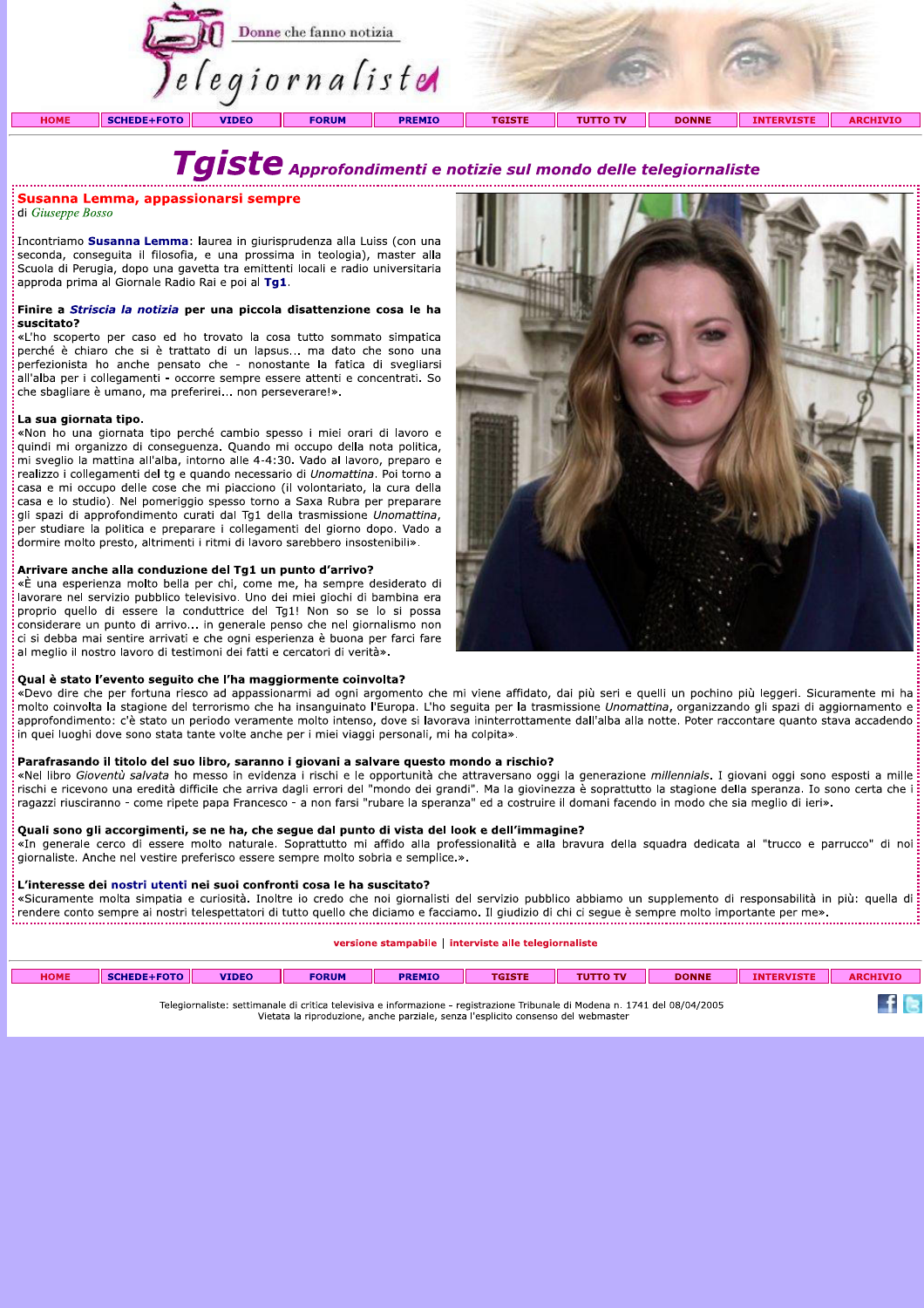

di Giuseppe Bosso

Susanna Lemma, appassionarsi sempre<br>
di Giuseppe Bosso<br>
Incontriamo Susanna Lemma: laurea in giurisprudenza alla Luiss (con una<br>
seconda, conseguita il filosofia, e una prossima in teologia), master alla<br>
scuola di Perugia

di Giuseppe Bosso<br>
Incontriamo **Susanna Lemma**: laurea in giurisprudenza alla Luiss (con una<br>
seconda, conseguita il filosofia, e una prossima in teologia), master alla<br>
seconda di Perugia, dopo una gavetta tra emitterti l

realizzo i collegamenti del tg e quando necessario di *Unomattina*. Poi torno casa e mi occupo delle cose che mi piacciono (il volontariato, la cura del casa e lo studio). Nel pomeriggio spesso torno a Saxa Rubra per prepa From the fille property and in the property of the commuter. For the constraints in the constraints of the file of the constraints of the constraints of the constraints of the constraints of the constraints of the constra

| <b>HOME</b> | SCHEDE+FOTO | <b>VIDEO</b> | <b>FORUM</b> | <b>PREMIO</b> | <b>TGISTE</b>                                                                                                                                                                                                     | <b>TUTTO TV</b> | <b>DONNE</b> | <b>INTERVISTE</b> | <b>ARCHIVIO</b> |
|-------------|-------------|--------------|--------------|---------------|-------------------------------------------------------------------------------------------------------------------------------------------------------------------------------------------------------------------|-----------------|--------------|-------------------|-----------------|
|             |             |              |              |               | Telegiornaliste: settimanale di critica televisiva e informazione - registrazione Tribunale di Modena n. 1741 del 08/04/2005<br>Vietata la riproduzione, anche parziale, senza l'esplicito consenso del webmaster |                 |              |                   |                 |

Ielegiorhaliste: settimanale di critica televisiva e informazione - registrazione Tribunale di Modena n. 1741<br>Vietata la riproduzione, anche parziale, senza l'esplicito consenso del webmaster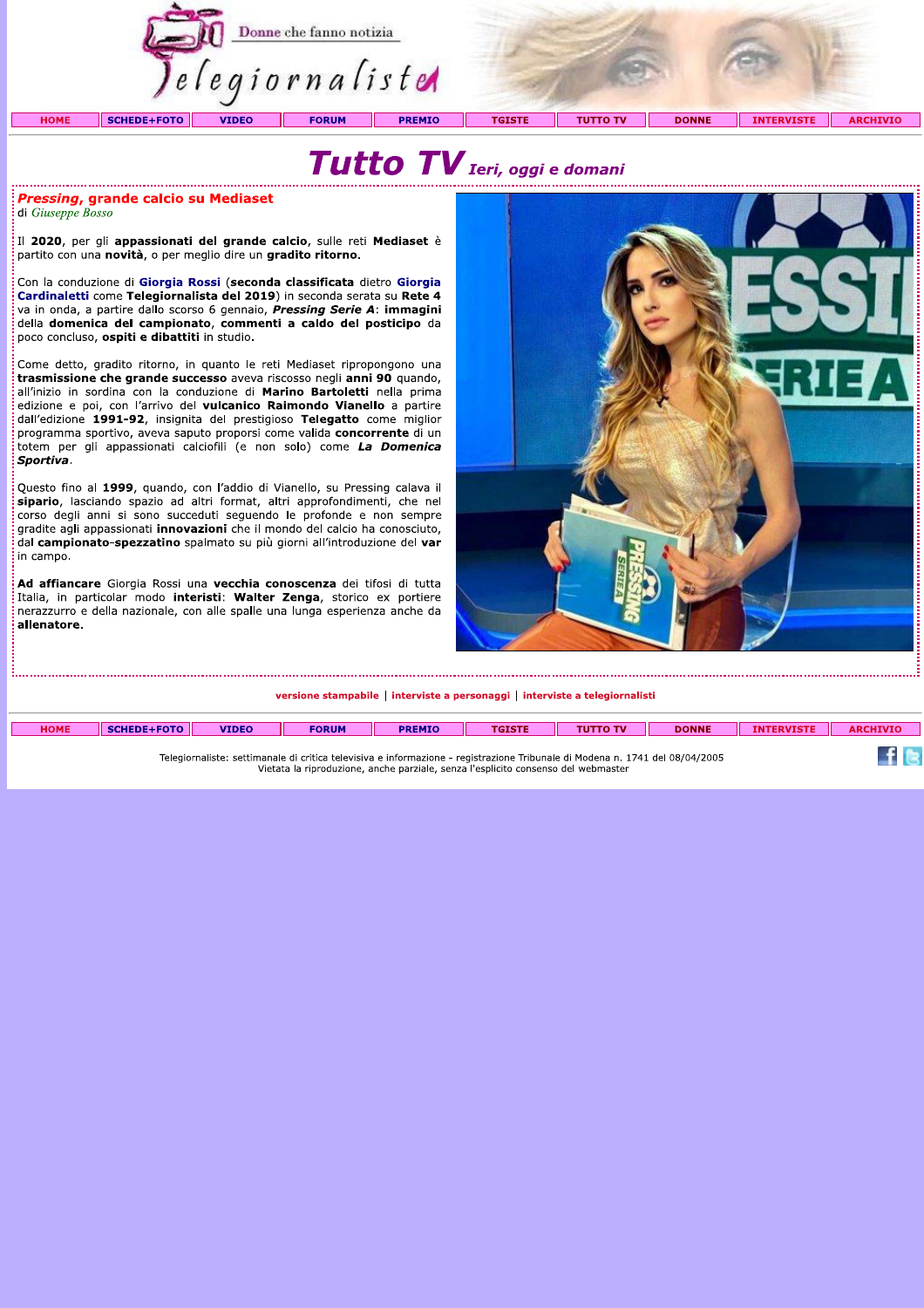

|  | $Tutto TV$ Ieri, oggi e domani |
|--|--------------------------------|
|--|--------------------------------|

## $\frac{1}{2}$ di *Giuseppe Bosso*

**Pressing, grande calcio su Mediaset<br>
Il 2020**, per gli appassionati del grande calcio, sulle reti Mediaset è<br>
partito con una novità, o per meglio dire un gradito ritorno.<br>
Con la conduzione di Giorgia Rossi (seconda cals

**Pressing, grande calcio su Mediaset**<br>
di Giuseppe Bosso<br>
Il 2020, per gli appassionati del grande calcio, sulle reti Mediaset è<br>
partito con una novità, o per meglio dire un gradito ritorno.<br>
Con la conduzione di Giorgia della **domenica del campionato, commenti a caldo del posticipo** da<br>poco concluso, **ospiti e dibattiti** in studio.<br>Come detto, gradito ritorno, in quanto le reti Mediaset ripropongono una<br>**trasmissione che grande successo**

dal campionato-spezzatino spalmato su più giorni all'introduzione del var  $\frac{1}{2}$  in campo.



| <b>HOME</b> | <b>SCHEDE+FOTO</b> | <b>VIDEO</b> | <b>FORUM</b> | <b>PREMIO</b> | <b>TGISTE</b> | <b>TUTTO TV</b> | <b>DONNE</b> | <b>INTERVISTI</b> | <b>ARCHIVIO</b> |
|-------------|--------------------|--------------|--------------|---------------|---------------|-----------------|--------------|-------------------|-----------------|
|             |                    |              |              |               |               |                 |              |                   |                 |

lelegiorhaliste: settimahale di critica televisiva e informazione - registrazione Tribunale di Modena n. 1741 del 08/04/2005<br>Vietata la riproduzione, anche parziale, senza l'esplicito consenso del webmaster

 $f \approx$